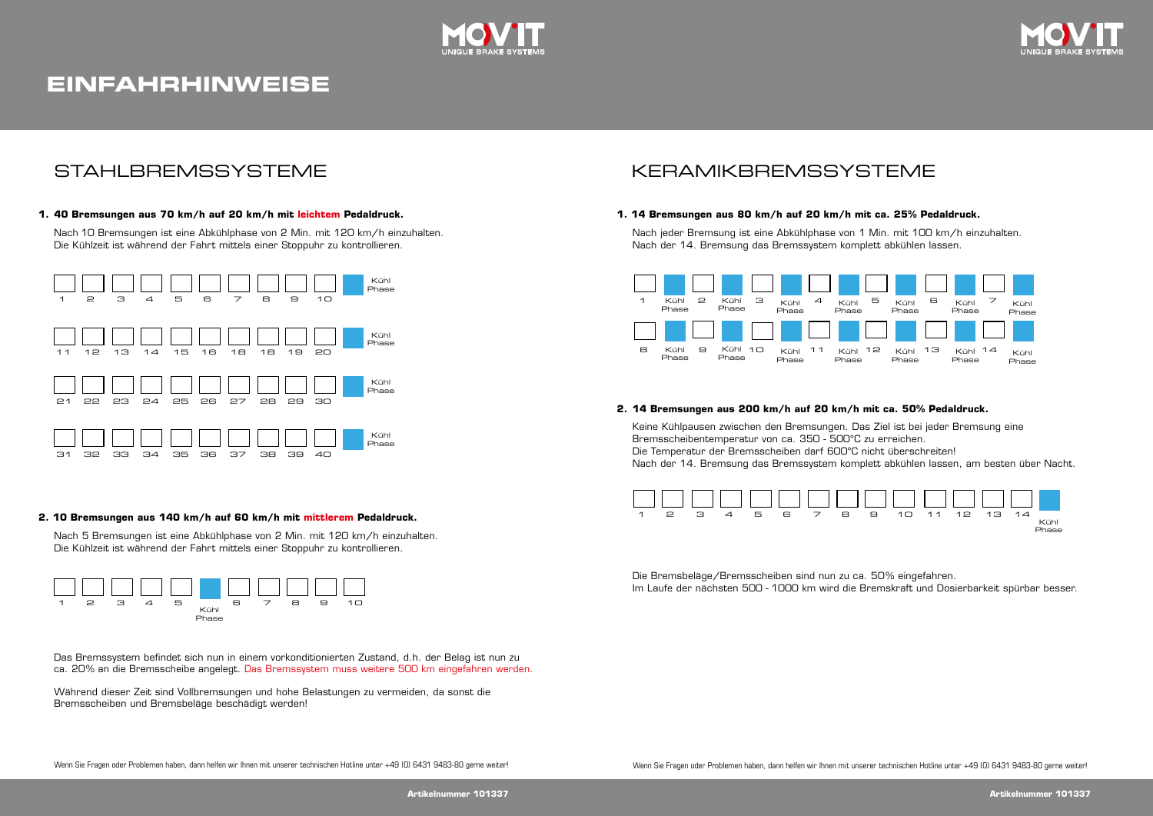

# **EINFAHRHINWEISE**



## STAHLBREMSSYSTEME

### **1. 40 Bremsungen aus 70 km/h auf 20 km/h mit leichtem Pedaldruck. 40 Bremsungen aus 70 km/h auf 20 km/h mit leichtem Pedaldruck. 1. 20 km/h leichtem**

Nach 10 Bremsungen ist eine Abkühlphase von 2 Min. mit 120 km/h einzuhalten. Die Kühlzeit ist während der Fahrt mittels einer Stoppuhr zu kontrollieren. Nach 10 Bremsungen ist eine Abkühlphase von 2 Min. mit 120 km/h einzuhalten.<br>Die Kühlzeit ist während der Fahrt mittels einer Stoppuhr zu kontrollieren.<br>.



### **2. 10 Bremsungen aus 140 km/h auf 60 km/h mit mittlerem Pedaldruck.**

Nach 5 Bremsungen ist eine Abkühlphase von 2 Min. mit 120 km/h einzuhalten.<br>Die Kühlzeit ist während der Fahrt mittels einer Stoppuhr zu kontrollieren. Die Kühlzeit ist während der Fahrt mittels einer Stoppuhr zu kontrollieren. Die Kühlzeit ist während der Fahrt mittels einer Stoppuhr zu kontrollieren.



Das Bremssystem befindet sich nun in einem vorkonditionierten Zustand, d.h. der Belag ist nun zu Das Bremssystem befindet sich nun in einem vorkonditionierten Zustand, d.h. der Belag ist nun zu 20% an die Bremsscheibe angelegt. Das Bremssystem muss weitere 500 km eingefahren werden. ca. 20% an die Bremsscheibe angelegt. Das Bremssystem muss weitere 500 km eingefahren werden. ca. 20% an die Bremsscheibe angelegt. Das Bremssystem muss weitere 500 km eingefahren werden.<br>Während dieser Zeit sind Vollbremsungen und hohe Belastungen zu vermeiden, da sonst die

scheiben und Bremsbeläge beschädigt werden! Bremsscheiben und Bremsbeläge beschädigt werden!

# KFRAMIKBREMSSYSTEME

KERAMIKBREMSSYSTEME.

KERAMIKBREMSSYSTEME.

### 1. 14 Bremsungen aus 80 km/h auf 20 km/h mit ca. 25% Pedaldruck.

nach jeder Bremsung ist eine Abkühlphase von 1 min mit 100 km/h einzuhalten.<br>Nach den 14 Promoting des Promotions komplett ebkühlen leecen Nach der 14. Bremsung das Bremssystem komplett abkühlen lassen. Nach jeder Bremsung ist eine Abkühlphase von 1 Min. mit 100 km/h einzuhalten. Nach jeder Bremsung ist eine Abkühlphase von 1 min mit 100 km/h einzuhalten .



#### **2. 14 Bremsungen aus 200 km/h auf 20 km/h mit ca. 50% Pedaldruck.**

Keine Kühlpausen zwischen den Bremsungen. Das Ziel ist bei jeder Bremsung eine Die Temperatur der Bremsscheiben darf 600°C nicht überschreiten! Nach der 14. Bremsung das Bremssystem komplett abkühlen lassen, am besten über Nacht. Bremsscheibentemperatur von ca. 350 - 500°C zu erreichen.

Nach der 14. Bremsungen das Bremssystem komplett abkühlen lassen, am besten über Nacht.



Die Bremsbeläge/Bremsscheiben sind nun zu ca. 50% eingefahren. lm Laufe der nächsten 500 - 1000 km wird die Bremskraft und Dosierbarkeit spürbar besser.<br>.